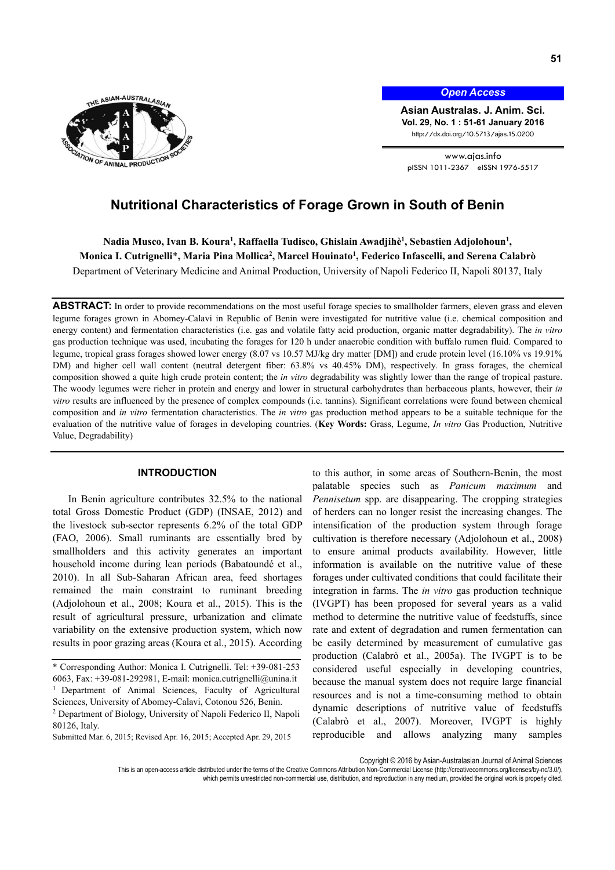

*Open Access*

**Asian Australas. J. Anim. Sci. Vol. 29, No. 1 : 51-61 January 2016**  http://dx.doi.org/10.5713/ajas.15.0200

www.ajas.info pISSN 1011-2367 eISSN 1976-5517

# **Nutritional Characteristics of Forage Grown in South of Benin**

Nadia Musco, Ivan B. Koura<sup>1</sup>, Raffaella Tudisco, Ghislain Awadjihè<sup>1</sup>, Sebastien Adjolohoun<sup>1</sup>, **Monica I. Cutrignelli**\***, Maria Pina Mollica2 , Marcel Houinato1 , Federico Infascelli, and Serena Calabrò** 

Department of Veterinary Medicine and Animal Production, University of Napoli Federico II, Napoli 80137, Italy

ABSTRACT: In order to provide recommendations on the most useful forage species to smallholder farmers, eleven grass and eleven legume forages grown in Abomey-Calavi in Republic of Benin were investigated for nutritive value (i.e. chemical composition and energy content) and fermentation characteristics (i.e. gas and volatile fatty acid production, organic matter degradability). The *in vitro* gas production technique was used, incubating the forages for 120 h under anaerobic condition with buffalo rumen fluid. Compared to legume, tropical grass forages showed lower energy (8.07 vs 10.57 MJ/kg dry matter [DM]) and crude protein level (16.10% vs 19.91% DM) and higher cell wall content (neutral detergent fiber: 63.8% vs 40.45% DM), respectively. In grass forages, the chemical composition showed a quite high crude protein content; the *in vitro* degradability was slightly lower than the range of tropical pasture. The woody legumes were richer in protein and energy and lower in structural carbohydrates than herbaceous plants, however, their *in vitro* results are influenced by the presence of complex compounds (i.e. tannins). Significant correlations were found between chemical composition and *in vitro* fermentation characteristics. The *in vitro* gas production method appears to be a suitable technique for the evaluation of the nutritive value of forages in developing countries. (**Key Words:** Grass, Legume, *In vitro* Gas Production, Nutritive Value, Degradability)

# **INTRODUCTION**

In Benin agriculture contributes 32.5% to the national total Gross Domestic Product (GDP) (INSAE, 2012) and the livestock sub-sector represents 6.2% of the total GDP (FAO, 2006). Small ruminants are essentially bred by smallholders and this activity generates an important household income during lean periods (Babatoundé et al., 2010). In all Sub-Saharan African area, feed shortages remained the main constraint to ruminant breeding (Adjolohoun et al., 2008; Koura et al., 2015). This is the result of agricultural pressure, urbanization and climate variability on the extensive production system, which now results in poor grazing areas (Koura et al., 2015). According to this author, in some areas of Southern-Benin, the most palatable species such as *Panicum maximum* and *Pennisetum* spp. are disappearing. The cropping strategies of herders can no longer resist the increasing changes. The intensification of the production system through forage cultivation is therefore necessary (Adjolohoun et al., 2008) to ensure animal products availability. However, little information is available on the nutritive value of these forages under cultivated conditions that could facilitate their integration in farms. The *in vitro* gas production technique (IVGPT) has been proposed for several years as a valid method to determine the nutritive value of feedstuffs, since rate and extent of degradation and rumen fermentation can be easily determined by measurement of cumulative gas production (Calabrò et al., 2005a). The IVGPT is to be considered useful especially in developing countries, because the manual system does not require large financial resources and is not a time-consuming method to obtain dynamic descriptions of nutritive value of feedstuffs (Calabrò et al., 2007). Moreover, IVGPT is highly reproducible and allows analyzing many samples

<sup>\*</sup> Corresponding Author: Monica I. Cutrignelli. Tel: +39-081-253 6063, Fax: +39-081-292981, E-mail: monica.cutrignelli@unina.it <sup>1</sup> Department of Animal Sciences, Faculty of Agricultural Sciences, University of Abomey-Calavi, Cotonou 526, Benin.

<sup>2</sup> Department of Biology, University of Napoli Federico II, Napoli 80126, Italy.

Submitted Mar. 6, 2015; Revised Apr. 16, 2015; Accepted Apr. 29, 2015

Copyright © 2016 by Asian-Australasian Journal of Animal Sciences

This is an open-access article distributed under the terms of the Creative Commons Attribution Non-Commercial License (http://creativecommons.org/licenses/by-nc/3.0/), which permits unrestricted non-commercial use, distribution, and reproduction in any medium, provided the original work is properly cited.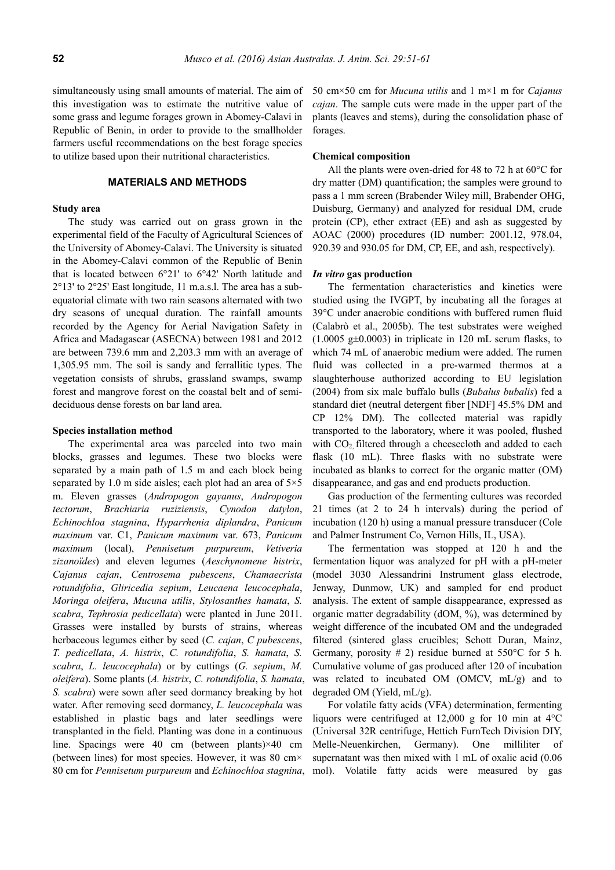simultaneously using small amounts of material. The aim of this investigation was to estimate the nutritive value of some grass and legume forages grown in Abomey-Calavi in Republic of Benin, in order to provide to the smallholder farmers useful recommendations on the best forage species to utilize based upon their nutritional characteristics.

#### **MATERIALS AND METHODS**

# **Study area**

The study was carried out on grass grown in the experimental field of the Faculty of Agricultural Sciences of the University of Abomey-Calavi. The University is situated in the Abomey-Calavi common of the Republic of Benin that is located between 6°21' to 6°42' North latitude and 2°13' to 2°25' East longitude, 11 m.a.s.l. The area has a subequatorial climate with two rain seasons alternated with two dry seasons of unequal duration. The rainfall amounts recorded by the Agency for Aerial Navigation Safety in Africa and Madagascar (ASECNA) between 1981 and 2012 are between 739.6 mm and 2,203.3 mm with an average of 1,305.95 mm. The soil is sandy and ferrallitic types. The vegetation consists of shrubs, grassland swamps, swamp forest and mangrove forest on the coastal belt and of semideciduous dense forests on bar land area.

#### **Species installation method**

The experimental area was parceled into two main blocks, grasses and legumes. These two blocks were separated by a main path of 1.5 m and each block being separated by 1.0 m side aisles; each plot had an area of  $5\times5$ m. Eleven grasses (*Andropogon gayanus*, *Andropogon tectorum*, *Brachiaria ruziziensis*, *Cynodon datylon*, *Echinochloa stagnina*, *Hyparrhenia diplandra*, *Panicum maximum* var. C1, *Panicum maximum* var. 673, *Panicum maximum* (local), *Pennisetum purpureum*, *Vetiveria zizanoïdes*) and eleven legumes (*Aeschynomene histrix*, *Cajanus cajan*, *Centrosema pubescens*, *Chamaecrista rotundifolia*, *Gliricedia sepium*, *Leucaena leucocephala*, *Moringa oleifera*, *Mucuna utilis*, *Stylosanthes hamata*, *S. scabra*, *Tephrosia pedicellata*) were planted in June 2011. Grasses were installed by bursts of strains, whereas herbaceous legumes either by seed (*C. cajan*, *C pubescens*, *T. pedicellata*, *A. histrix*, *C. rotundifolia*, *S. hamata*, *S. scabra*, *L. leucocephala*) or by cuttings (*G. sepium*, *M. oleifera*). Some plants (*A. histrix*, *C. rotundifolia*, *S. hamata*, *S. scabra*) were sown after seed dormancy breaking by hot water. After removing seed dormancy, *L. leucocephala* was established in plastic bags and later seedlings were transplanted in the field. Planting was done in a continuous line. Spacings were 40 cm (between plants)×40 cm (between lines) for most species. However, it was 80 cm× 80 cm for *Pennisetum purpureum* and *Echinochloa stagnina*,

50 cm×50 cm for *Mucuna utilis* and 1 m×1 m for *Cajanus cajan*. The sample cuts were made in the upper part of the plants (leaves and stems), during the consolidation phase of forages.

### **Chemical composition**

All the plants were oven-dried for 48 to 72 h at 60°C for dry matter (DM) quantification; the samples were ground to pass a 1 mm screen (Brabender Wiley mill, Brabender OHG, Duisburg, Germany) and analyzed for residual DM, crude protein (CP), ether extract (EE) and ash as suggested by AOAC (2000) procedures (ID number: 2001.12, 978.04, 920.39 and 930.05 for DM, CP, EE, and ash, respectively).

#### *In vitro* **gas production**

The fermentation characteristics and kinetics were studied using the IVGPT, by incubating all the forages at 39°C under anaerobic conditions with buffered rumen fluid (Calabrò et al., 2005b). The test substrates were weighed  $(1.0005 \text{ g} \pm 0.0003)$  in triplicate in 120 mL serum flasks, to which 74 mL of anaerobic medium were added. The rumen fluid was collected in a pre-warmed thermos at a slaughterhouse authorized according to EU legislation (2004) from six male buffalo bulls (*Bubalus bubalis*) fed a standard diet (neutral detergent fiber [NDF] 45.5% DM and CP 12% DM). The collected material was rapidly transported to the laboratory, where it was pooled, flushed with  $CO<sub>2</sub>$  filtered through a cheesecloth and added to each flask (10 mL). Three flasks with no substrate were incubated as blanks to correct for the organic matter (OM) disappearance, and gas and end products production.

Gas production of the fermenting cultures was recorded 21 times (at 2 to 24 h intervals) during the period of incubation (120 h) using a manual pressure transducer (Cole and Palmer Instrument Co, Vernon Hills, IL, USA).

The fermentation was stopped at 120 h and the fermentation liquor was analyzed for pH with a pH-meter (model 3030 Alessandrini Instrument glass electrode, Jenway, Dunmow, UK) and sampled for end product analysis. The extent of sample disappearance, expressed as organic matter degradability (dOM, %), was determined by weight difference of the incubated OM and the undegraded filtered (sintered glass crucibles; Schott Duran, Mainz, Germany, porosity  $# 2$ ) residue burned at 550 °C for 5 h. Cumulative volume of gas produced after 120 of incubation was related to incubated OM (OMCV, mL/g) and to degraded OM (Yield, mL/g).

For volatile fatty acids (VFA) determination, fermenting liquors were centrifuged at 12,000 g for 10 min at 4°C (Universal 32R centrifuge, Hettich FurnTech Division DIY, Melle-Neuenkirchen, Germany). One milliliter of supernatant was then mixed with 1 mL of oxalic acid (0.06) mol). Volatile fatty acids were measured by gas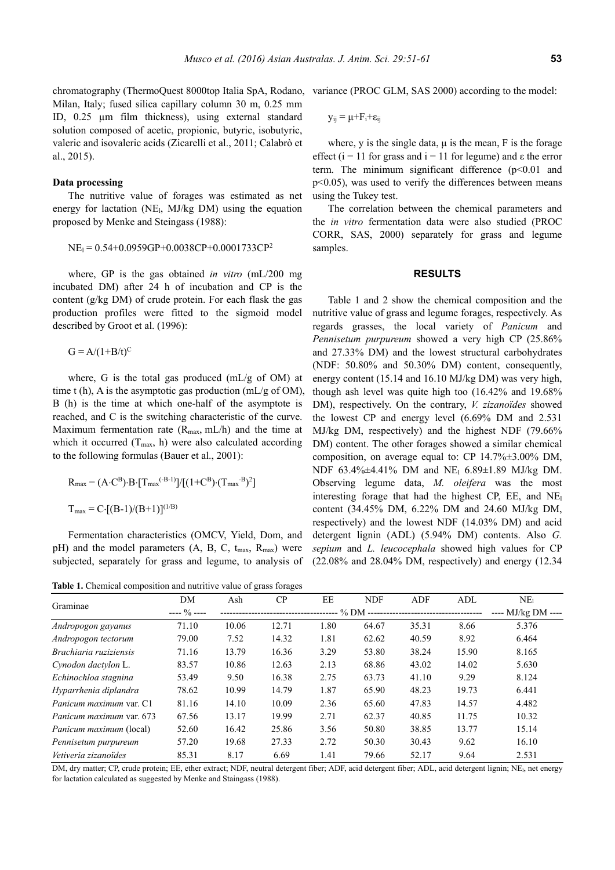chromatography (ThermoQuest 8000top Italia SpA, Rodano, variance (PROC GLM, SAS 2000) according to the model: Milan, Italy; fused silica capillary column 30 m, 0.25 mm ID, 0.25 µm film thickness), using external standard solution composed of acetic, propionic, butyric, isobutyric, valeric and isovaleric acids (Zicarelli et al., 2011; Calabrò et al., 2015).

## **Data processing**

The nutritive value of forages was estimated as net energy for lactation (NE<sub>l</sub>, MJ/kg DM) using the equation proposed by Menke and Steingass (1988):

$$
NE1 = 0.54 + 0.0959GP + 0.0038CP + 0.0001733CP2
$$

where, GP is the gas obtained *in vitro* (mL/200 mg incubated DM) after 24 h of incubation and CP is the content (g/kg DM) of crude protein. For each flask the gas production profiles were fitted to the sigmoid model described by Groot et al. (1996):

 $G = A/(1+B/t)^C$ 

where, G is the total gas produced (mL/g of OM) at time t (h), A is the asymptotic gas production (mL/g of OM), B (h) is the time at which one-half of the asymptote is reached, and C is the switching characteristic of the curve. Maximum fermentation rate  $(R_{max}, mL/h)$  and the time at which it occurred  $(T_{max}, h)$  were also calculated according to the following formulas (Bauer et al., 2001):

$$
R_{\text{max}} = (A \cdot C^{B}) \cdot B \cdot [T_{\text{max}}^{(B-1)}]/[(1+C^{B}) \cdot (T_{\text{max}}^{B})^{2}]
$$
  

$$
T_{\text{max}} = C \cdot [(B-1)/(B+1)]^{(1/B)}
$$

Fermentation characteristics (OMCV, Yield, Dom, and pH) and the model parameters  $(A, B, C, t_{max}, R_{max})$  were subjected, separately for grass and legume, to analysis of

**Table 1.** Chemical composition and nutritive value of grass forages

$$
y_{ij} = \mu + F_i + \epsilon_{ij}
$$

where, y is the single data,  $\mu$  is the mean, F is the forage effect ( $i = 11$  for grass and  $i = 11$  for legume) and  $\varepsilon$  the error term. The minimum significant difference  $(p<0.01$  and p<0.05), was used to verify the differences between means using the Tukey test.

The correlation between the chemical parameters and the *in vitro* fermentation data were also studied (PROC CORR, SAS, 2000) separately for grass and legume samples.

## **RESULTS**

Table 1 and 2 show the chemical composition and the nutritive value of grass and legume forages, respectively. As regards grasses, the local variety of *Panicum* and *Pennisetum purpureum* showed a very high CP (25.86% and 27.33% DM) and the lowest structural carbohydrates (NDF: 50.80% and 50.30% DM) content, consequently, energy content (15.14 and 16.10 MJ/kg DM) was very high, though ash level was quite high too (16.42% and 19.68% DM), respectively. On the contrary, *V. zizanoïdes* showed the lowest CP and energy level (6.69% DM and 2.531 MJ/kg DM, respectively) and the highest NDF (79.66% DM) content. The other forages showed a similar chemical composition, on average equal to: CP 14.7%±3.00% DM, NDF 63.4%±4.41% DM and NEl 6.89±1.89 MJ/kg DM. Observing legume data, *M. oleifera* was the most interesting forage that had the highest CP, EE, and NEl content (34.45% DM, 6.22% DM and 24.60 MJ/kg DM, respectively) and the lowest NDF (14.03% DM) and acid detergent lignin (ADL) (5.94% DM) contents. Also *G. sepium* and *L. leucocephala* showed high values for CP (22.08% and 28.04% DM, respectively) and energy (12.34

|                                | DM            | Ash   | CP                 | EE   | <b>NDF</b> | ADF   | ADL   | NE <sub>1</sub> |
|--------------------------------|---------------|-------|--------------------|------|------------|-------|-------|-----------------|
| Graminae                       | $--- 9/0 ---$ |       | $--- MJ/kg DM ---$ |      |            |       |       |                 |
| Andropogon gayanus             | 71.10         | 10.06 | 12.71              | 1.80 | 64.67      | 35.31 | 8.66  | 5.376           |
| Andropogon tectorum            | 79.00         | 7.52  | 14.32              | 1.81 | 62.62      | 40.59 | 8.92  | 6.464           |
| Brachiaria ruziziensis         | 71.16         | 13.79 | 16.36              | 3.29 | 53.80      | 38.24 | 15.90 | 8.165           |
| Cynodon dactylon L.            | 83.57         | 10.86 | 12.63              | 2.13 | 68.86      | 43.02 | 14.02 | 5.630           |
| Echinochloa stagnina           | 53.49         | 9.50  | 16.38              | 2.75 | 63.73      | 41.10 | 9.29  | 8.124           |
| Hyparrhenia diplandra          | 78.62         | 10.99 | 14.79              | 1.87 | 65.90      | 48.23 | 19.73 | 6.441           |
| Panicum maximum var. C1        | 81.16         | 14.10 | 10.09              | 2.36 | 65.60      | 47.83 | 14.57 | 4.482           |
| Panicum maximum var. 673       | 67.56         | 13.17 | 19.99              | 2.71 | 62.37      | 40.85 | 11.75 | 10.32           |
| <i>Panicum maximum</i> (local) | 52.60         | 16.42 | 25.86              | 3.56 | 50.80      | 38.85 | 13.77 | 15.14           |
| Pennisetum purpureum           | 57.20         | 19.68 | 27.33              | 2.72 | 50.30      | 30.43 | 9.62  | 16.10           |
| Vetiveria zizanoïdes           | 85.31         | 8.17  | 6.69               | 1.41 | 79.66      | 52.17 | 9.64  | 2.531           |

DM, dry matter; CP, crude protein; EE, ether extract; NDF, neutral detergent fiber; ADF, acid detergent fiber; ADL, acid detergent lignin; NEl, net energy for lactation calculated as suggested by Menke and Staingass (1988).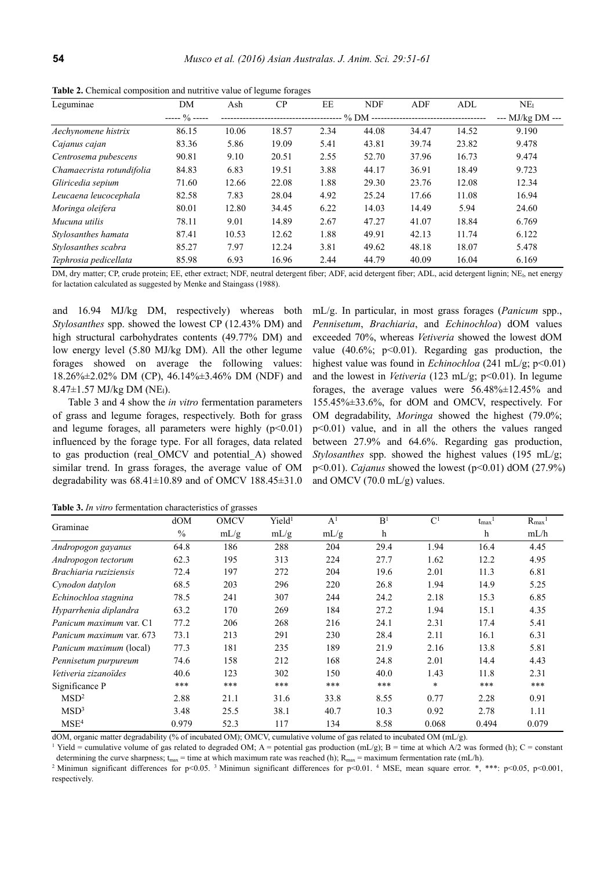| Leguminae                 | DM                  | Ash   | CP    | EE   | <b>NDF</b> | ADF   | ADL   | NE <sub>1</sub>  |
|---------------------------|---------------------|-------|-------|------|------------|-------|-------|------------------|
|                           | $\frac{0}{0}$ ----- |       |       |      |            |       |       | --- MJ/kg DM --- |
| Aechynomene histrix       | 86.15               | 10.06 | 18.57 | 2.34 | 44.08      | 34.47 | 14.52 | 9.190            |
| Cajanus cajan             | 83.36               | 5.86  | 19.09 | 5.41 | 43.81      | 39.74 | 23.82 | 9.478            |
| Centrosema pubescens      | 90.81               | 9.10  | 20.51 | 2.55 | 52.70      | 37.96 | 16.73 | 9.474            |
| Chamaecrista rotundifolia | 84.83               | 6.83  | 19.51 | 3.88 | 44.17      | 36.91 | 18.49 | 9.723            |
| Gliricedia sepium         | 71.60               | 12.66 | 22.08 | 1.88 | 29.30      | 23.76 | 12.08 | 12.34            |
| Leucaena leucocephala     | 82.58               | 7.83  | 28.04 | 4.92 | 25.24      | 17.66 | 11.08 | 16.94            |
| Moringa oleifera          | 80.01               | 12.80 | 34.45 | 6.22 | 14.03      | 14.49 | 5.94  | 24.60            |
| Mucuna utilis             | 78.11               | 9.01  | 14.89 | 2.67 | 47.27      | 41.07 | 18.84 | 6.769            |
| Stylosanthes hamata       | 87.41               | 10.53 | 12.62 | 1.88 | 49.91      | 42.13 | 11.74 | 6.122            |
| Stylosanthes scabra       | 85.27               | 7.97  | 12.24 | 3.81 | 49.62      | 48.18 | 18.07 | 5.478            |
| Tephrosia pedicellata     | 85.98               | 6.93  | 16.96 | 2.44 | 44.79      | 40.09 | 16.04 | 6.169            |

**Table 2.** Chemical composition and nutritive value of legume forages

DM, dry matter; CP, crude protein; EE, ether extract; NDF, neutral detergent fiber; ADF, acid detergent fiber; ADL, acid detergent lignin; NEl, net energy for lactation calculated as suggested by Menke and Staingass (1988).

and 16.94 MJ/kg DM, respectively) whereas both *Stylosanthes* spp. showed the lowest CP (12.43% DM) and high structural carbohydrates contents (49.77% DM) and low energy level (5.80 MJ/kg DM). All the other legume forages showed on average the following values: 18.26%±2.02% DM (CP), 46.14%±3.46% DM (NDF) and  $8.47 \pm 1.57$  MJ/kg DM (NE<sub>1</sub>).

Table 3 and 4 show the *in vitro* fermentation parameters of grass and legume forages, respectively. Both for grass and legume forages, all parameters were highly  $(p<0.01)$ influenced by the forage type. For all forages, data related to gas production (real\_OMCV and potential\_A) showed similar trend. In grass forages, the average value of OM degradability was  $68.41 \pm 10.89$  and of OMCV  $188.45 \pm 31.0$  mL/g. In particular, in most grass forages (*Panicum* spp., *Pennisetum*, *Brachiaria*, and *Echinochloa*) dOM values exceeded 70%, whereas *Vetiveria* showed the lowest dOM value  $(40.6\%; p<0.01)$ . Regarding gas production, the highest value was found in *Echinochloa* (241 mL/g; p<0.01) and the lowest in *Vetiveria* (123 mL/g; p<0.01). In legume forages, the average values were  $56.48\% \pm 12.45\%$  and 155.45%±33.6%, for dOM and OMCV, respectively. For OM degradability, *Moringa* showed the highest (79.0%; p<0.01) value, and in all the others the values ranged between 27.9% and 64.6%. Regarding gas production, *Stylosanthes* spp. showed the highest values (195 mL/g; p<0.01). *Cajanus* showed the lowest (p<0.01) dOM (27.9%) and OMCV (70.0 mL/g) values.

**Table 3.** *In vitro* fermentation characteristics of grasses

|                                | dOM           | <b>OMCV</b> | Yield <sup>1</sup> | A <sup>1</sup> | B <sup>1</sup> | C <sup>1</sup> | $t_{\rm max}$ | $R_{max}$ |
|--------------------------------|---------------|-------------|--------------------|----------------|----------------|----------------|---------------|-----------|
| Graminae                       | $\frac{0}{0}$ | mL/g        | mL/g               | mL/g           | h              |                | h             | mL/h      |
| Andropogon gayanus             | 64.8          | 186         | 288                | 204            | 29.4           | 1.94           | 16.4          | 4.45      |
| Andropogon tectorum            | 62.3          | 195         | 313                | 224            | 27.7           | 1.62           | 12.2          | 4.95      |
| Brachiaria ruziziensis         | 72.4          | 197         | 272                | 204            | 19.6           | 2.01           | 11.3          | 6.81      |
| Cynodon datylon                | 68.5          | 203         | 296                | 220            | 26.8           | 1.94           | 14.9          | 5.25      |
| Echinochloa stagnina           | 78.5          | 241         | 307                | 244            | 24.2           | 2.18           | 15.3          | 6.85      |
| Hyparrhenia diplandra          | 63.2          | 170         | 269                | 184            | 27.2           | 1.94           | 15.1          | 4.35      |
| Panicum maximum var. C1        | 77.2          | 206         | 268                | 216            | 24.1           | 2.31           | 17.4          | 5.41      |
| Panicum maximum var. 673       | 73.1          | 213         | 291                | 230            | 28.4           | 2.11           | 16.1          | 6.31      |
| <i>Panicum maximum</i> (local) | 77.3          | 181         | 235                | 189            | 21.9           | 2.16           | 13.8          | 5.81      |
| Pennisetum purpureum           | 74.6          | 158         | 212                | 168            | 24.8           | 2.01           | 14.4          | 4.43      |
| Vetiveria zizanoïdes           | 40.6          | 123         | 302                | 150            | 40.0           | 1.43           | 11.8          | 2.31      |
| Significance P                 | ***           | ***         | ***                | $***$          | ***            | $\ast$         | $***$         | ***       |
| MSD <sup>2</sup>               | 2.88          | 21.1        | 31.6               | 33.8           | 8.55           | 0.77           | 2.28          | 0.91      |
| MSD <sup>3</sup>               | 3.48          | 25.5        | 38.1               | 40.7           | 10.3           | 0.92           | 2.78          | 1.11      |
| MSE <sup>4</sup>               | 0.979         | 52.3        | 117                | 134            | 8.58           | 0.068          | 0.494         | 0.079     |

dOM, organic matter degradability (% of incubated OM); OMCV, cumulative volume of gas related to incubated OM  $(mL/g)$ .

<sup>1</sup> Yield = cumulative volume of gas related to degraded OM; A = potential gas production (mL/g); B = time at which A/2 was formed (h); C = constant determining the curve sharpness; t<sub>max</sub> = time at which maximum rate was reached (h);  $R_{max}$  = maximum fermentation rate (mL/h).<br><sup>2</sup> Minimun significant differences for p<0.05. <sup>3</sup> Minimun significant differences for p<0.

respectively.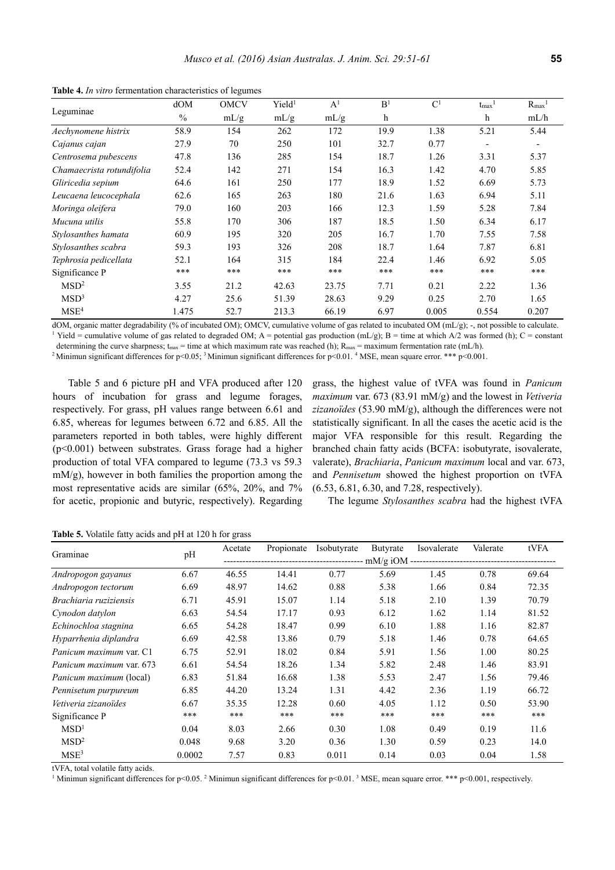|                           | dOM   | <b>OMCV</b> | Yield <sup>1</sup> | A <sup>1</sup> | B <sup>1</sup> | $\mathbf{C}^1$ | $t_{\rm max}$ <sup>1</sup> | $R_{max}$ <sup>1</sup>   |
|---------------------------|-------|-------------|--------------------|----------------|----------------|----------------|----------------------------|--------------------------|
| Leguminae                 | $\%$  | mL/g        | mL/g               | mL/g           | h              |                | h                          | mL/h                     |
| Aechynomene histrix       | 58.9  | 154         | 262                | 172            | 19.9           | 1.38           | 5.21                       | 5.44                     |
| Cajanus cajan             | 27.9  | 70          | 250                | 101            | 32.7           | 0.77           | $\overline{\phantom{a}}$   | $\overline{\phantom{a}}$ |
| Centrosema pubescens      | 47.8  | 136         | 285                | 154            | 18.7           | 1.26           | 3.31                       | 5.37                     |
| Chamaecrista rotundifolia | 52.4  | 142         | 271                | 154            | 16.3           | 1.42           | 4.70                       | 5.85                     |
| Gliricedia sepium         | 64.6  | 161         | 250                | 177            | 18.9           | 1.52           | 6.69                       | 5.73                     |
| Leucaena leucocephala     | 62.6  | 165         | 263                | 180            | 21.6           | 1.63           | 6.94                       | 5.11                     |
| Moringa oleifera          | 79.0  | 160         | 203                | 166            | 12.3           | 1.59           | 5.28                       | 7.84                     |
| Mucuna utilis             | 55.8  | 170         | 306                | 187            | 18.5           | 1.50           | 6.34                       | 6.17                     |
| Stylosanthes hamata       | 60.9  | 195         | 320                | 205            | 16.7           | 1.70           | 7.55                       | 7.58                     |
| Stylosanthes scabra       | 59.3  | 193         | 326                | 208            | 18.7           | 1.64           | 7.87                       | 6.81                     |
| Tephrosia pedicellata     | 52.1  | 164         | 315                | 184            | 22.4           | 1.46           | 6.92                       | 5.05                     |
| Significance P            | ***   | ***         | ***                | $***$          | $***$          | $***$          | ***                        | ***                      |
| MSD <sup>2</sup>          | 3.55  | 21.2        | 42.63              | 23.75          | 7.71           | 0.21           | 2.22                       | 1.36                     |
| MSD <sup>3</sup>          | 4.27  | 25.6        | 51.39              | 28.63          | 9.29           | 0.25           | 2.70                       | 1.65                     |
| MSE <sup>4</sup>          | 1.475 | 52.7        | 213.3              | 66.19          | 6.97           | 0.005          | 0.554                      | 0.207                    |

**Table 4.** *In vitro* fermentation characteristics of legumes

dOM, organic matter degradability (% of incubated OM); OMCV, cumulative volume of gas related to incubated OM (mL/g); -, not possible to calculate. <sup>1</sup> Yield = cumulative volume of gas related to degraded OM; A = potential gas production  $(mL/g)$ ; B = time at which A/2 was formed (h); C = constant

determining the curve sharpness;  $t_{\text{max}}$  = time at which maximum rate was reached (h);  $R_{\text{max}}$  = maximum fermentation rate (mL/h).

<sup>2</sup> Minimun significant differences for p<0.05; <sup>3</sup> Minimun significant differences for p<0.01. <sup>4</sup> MSE, mean square error. \*\*\* p<0.001.

Table 5 and 6 picture pH and VFA produced after 120 hours of incubation for grass and legume forages, respectively. For grass, pH values range between 6.61 and 6.85, whereas for legumes between 6.72 and 6.85. All the parameters reported in both tables, were highly different (p<0.001) between substrates. Grass forage had a higher production of total VFA compared to legume (73.3 vs 59.3 mM/g), however in both families the proportion among the most representative acids are similar (65%, 20%, and 7% for acetic, propionic and butyric, respectively). Regarding

grass, the highest value of tVFA was found in *Panicum maximum* var. 673 (83.91 mM/g) and the lowest in *Vetiveria zizanoïdes* (53.90 mM/g), although the differences were not statistically significant. In all the cases the acetic acid is the major VFA responsible for this result. Regarding the branched chain fatty acids (BCFA: isobutyrate, isovalerate, valerate), *Brachiaria*, *Panicum maximum* local and var. 673, and *Pennisetum* showed the highest proportion on tVFA (6.53, 6.81, 6.30, and 7.28, respectively).

The legume *Stylosanthes scabra* had the highest tVFA

**Table 5.** Volatile fatty acids and pH at 120 h for grass

|                                 |        | Acetate | Propionate | Isobutyrate | Butyrate | Isovalerate | Valerate | tVFA  |  |
|---------------------------------|--------|---------|------------|-------------|----------|-------------|----------|-------|--|
| Graminae                        | pH     |         |            |             |          |             |          |       |  |
| Andropogon gayanus              | 6.67   | 46.55   | 14.41      | 0.77        | 5.69     | 1.45        | 0.78     | 69.64 |  |
| Andropogon tectorum             | 6.69   | 48.97   | 14.62      | 0.88        | 5.38     | 1.66        | 0.84     | 72.35 |  |
| Brachiaria ruziziensis          | 6.71   | 45.91   | 15.07      | 1.14        | 5.18     | 2.10        | 1.39     | 70.79 |  |
| Cynodon datylon                 | 6.63   | 54.54   | 17.17      | 0.93        | 6.12     | 1.62        | 1.14     | 81.52 |  |
| Echinochloa stagnina            | 6.65   | 54.28   | 18.47      | 0.99        | 6.10     | 1.88        | 1.16     | 82.87 |  |
| Hyparrhenia diplandra           | 6.69   | 42.58   | 13.86      | 0.79        | 5.18     | 1.46        | 0.78     | 64.65 |  |
| Panicum maximum var. C1         | 6.75   | 52.91   | 18.02      | 0.84        | 5.91     | 1.56        | 1.00     | 80.25 |  |
| <i>Panicum maximum var.</i> 673 | 6.61   | 54.54   | 18.26      | 1.34        | 5.82     | 2.48        | 1.46     | 83.91 |  |
| Panicum maximum (local)         | 6.83   | 51.84   | 16.68      | 1.38        | 5.53     | 2.47        | 1.56     | 79.46 |  |
| Pennisetum purpureum            | 6.85   | 44.20   | 13.24      | 1.31        | 4.42     | 2.36        | 1.19     | 66.72 |  |
| Vetiveria zizanoïdes            | 6.67   | 35.35   | 12.28      | 0.60        | 4.05     | 1.12        | 0.50     | 53.90 |  |
| Significance P                  | ***    | ***     | ***        | ***         | $***$    | ***         | $***$    | ***   |  |
| MSD <sup>1</sup>                | 0.04   | 8.03    | 2.66       | 0.30        | 1.08     | 0.49        | 0.19     | 11.6  |  |
| MSD <sup>2</sup>                | 0.048  | 9.68    | 3.20       | 0.36        | 1.30     | 0.59        | 0.23     | 14.0  |  |
| MSE <sup>3</sup>                | 0.0002 | 7.57    | 0.83       | 0.011       | 0.14     | 0.03        | 0.04     | 1.58  |  |

tVFA, total volatile fatty acids.

<sup>1</sup> Minimun significant differences for p<0.05. <sup>2</sup> Minimun significant differences for p<0.01. <sup>3</sup> MSE, mean square error. \*\*\* p<0.001, respectively.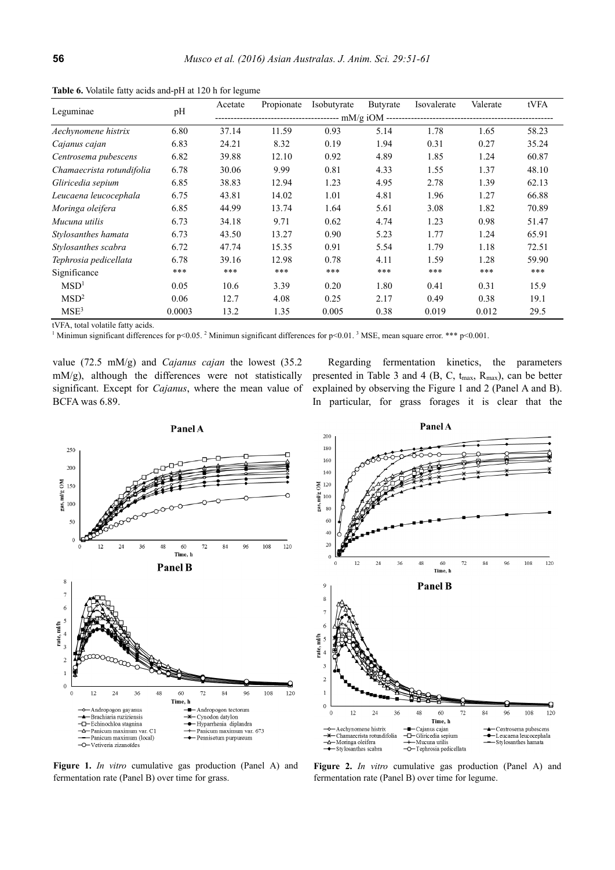|                           |        | Acetate | Propionate | Isobutyrate | Butyrate | Isovalerate | Valerate | tVFA  |  |
|---------------------------|--------|---------|------------|-------------|----------|-------------|----------|-------|--|
| Leguminae                 | pH     |         |            |             |          |             |          |       |  |
| Aechynomene histrix       | 6.80   | 37.14   | 11.59      | 0.93        | 5.14     | 1.78        | 1.65     | 58.23 |  |
| Cajanus cajan             | 6.83   | 24.21   | 8.32       | 0.19        | 1.94     | 0.31        | 0.27     | 35.24 |  |
| Centrosema pubescens      | 6.82   | 39.88   | 12.10      | 0.92        | 4.89     | 1.85        | 1.24     | 60.87 |  |
| Chamaecrista rotundifolia | 6.78   | 30.06   | 9.99       | 0.81        | 4.33     | 1.55        | 1.37     | 48.10 |  |
| Gliricedia sepium         | 6.85   | 38.83   | 12.94      | 1.23        | 4.95     | 2.78        | 1.39     | 62.13 |  |
| Leucaena leucocephala     | 6.75   | 43.81   | 14.02      | 1.01        | 4.81     | 1.96        | 1.27     | 66.88 |  |
| Moringa oleifera          | 6.85   | 44.99   | 13.74      | 1.64        | 5.61     | 3.08        | 1.82     | 70.89 |  |
| Mucuna utilis             | 6.73   | 34.18   | 9.71       | 0.62        | 4.74     | 1.23        | 0.98     | 51.47 |  |
| Stylosanthes hamata       | 6.73   | 43.50   | 13.27      | 0.90        | 5.23     | 1.77        | 1.24     | 65.91 |  |
| Stylosanthes scabra       | 6.72   | 47.74   | 15.35      | 0.91        | 5.54     | 1.79        | 1.18     | 72.51 |  |
| Tephrosia pedicellata     | 6.78   | 39.16   | 12.98      | 0.78        | 4.11     | 1.59        | 1.28     | 59.90 |  |
| Significance              | $***$  | ***     | ***        | ***         | ***      | ***         | ***      | ***   |  |
| MSD <sup>1</sup>          | 0.05   | 10.6    | 3.39       | 0.20        | 1.80     | 0.41        | 0.31     | 15.9  |  |
| MSD <sup>2</sup>          | 0.06   | 12.7    | 4.08       | 0.25        | 2.17     | 0.49        | 0.38     | 19.1  |  |
| MSE <sup>3</sup>          | 0.0003 | 13.2    | 1.35       | 0.005       | 0.38     | 0.019       | 0.012    | 29.5  |  |

**Table 6.** Volatile fatty acids and-pH at 120 h for legume

tVFA, total volatile fatty acids.

<sup>1</sup> Minimun significant differences for  $p \le 0.05$ . <sup>2</sup> Minimun significant differences for  $p \le 0.01$ . <sup>3</sup> MSE, mean square error. \*\*\*  $p \le 0.001$ .

value (72.5 mM/g) and *Cajanus cajan* the lowest (35.2 mM/g), although the differences were not statistically significant. Except for *Cajanus*, where the mean value of BCFA was 6.89.

Regarding fermentation kinetics, the parameters presented in Table 3 and 4 (B, C,  $t_{max}$ ,  $R_{max}$ ), can be better explained by observing the Figure 1 and 2 (Panel A and B). In particular, for grass forages it is clear that the





**Figure 1.** *In vitro* cumulative gas production (Panel A) and fermentation rate (Panel B) over time for grass.

**Figure 2.** *In vitro* cumulative gas production (Panel A) and fermentation rate (Panel B) over time for legume.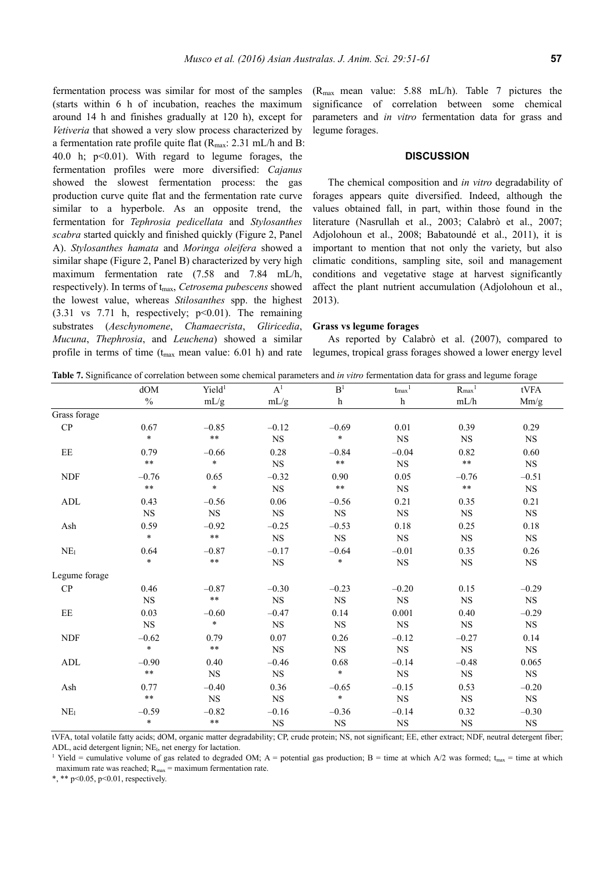fermentation process was similar for most of the samples (starts within 6 h of incubation, reaches the maximum around 14 h and finishes gradually at 120 h), except for *Vetiveria* that showed a very slow process characterized by a fermentation rate profile quite flat  $(R_{\text{max}}: 2.31 \text{ mL/h}$  and B: 40.0 h;  $p<0.01$ ). With regard to legume forages, the fermentation profiles were more diversified: *Cajanus* showed the slowest fermentation process: the gas production curve quite flat and the fermentation rate curve similar to a hyperbole. As an opposite trend, the fermentation for *Tephrosia pedicellata* and *Stylosanthes scabra* started quickly and finished quickly (Figure 2, Panel A). *Stylosanthes hamata* and *Moringa oleifera* showed a similar shape (Figure 2, Panel B) characterized by very high maximum fermentation rate (7.58 and 7.84 mL/h, respectively). In terms of tmax, *Cetrosema pubescens* showed the lowest value, whereas *Stilosanthes* spp. the highest  $(3.31 \text{ vs } 7.71 \text{ h}, \text{ respectively}; \text{ p} < 0.01)$ . The remaining substrates (*Aeschynomene*, *Chamaecrista*, *Gliricedia*, *Mucuna*, *Thephrosia*, and *Leuchena*) showed a similar profile in terms of time  $(t_{max}$  mean value: 6.01 h) and rate

(Rmax mean value: 5.88 mL/h). Table 7 pictures the significance of correlation between some chemical parameters and *in vitro* fermentation data for grass and legume forages.

## **DISCUSSION**

The chemical composition and *in vitro* degradability of forages appears quite diversified. Indeed, although the values obtained fall, in part, within those found in the literature (Nasrullah et al., 2003; Calabrò et al., 2007; Adjolohoun et al., 2008; Babatoundé et al., 2011), it is important to mention that not only the variety, but also climatic conditions, sampling site, soil and management conditions and vegetative stage at harvest significantly affect the plant nutrient accumulation (Adjolohoun et al., 2013).

#### **Grass vs legume forages**

As reported by Calabrò et al. (2007), compared to legumes, tropical grass forages showed a lower energy level

| Table 7. Significance of correlation between some chemical parameters and in vitro fermentation data for grass and legume forage |  |  |  |  |  |  |  |
|----------------------------------------------------------------------------------------------------------------------------------|--|--|--|--|--|--|--|
|----------------------------------------------------------------------------------------------------------------------------------|--|--|--|--|--|--|--|

|                 | dOM         | Yield <sup>1</sup> | A <sup>1</sup> | B <sup>1</sup>          | ${\rm t_{max}}^1$       | $R_{max}$ <sup>1</sup> | $\ensuremath{\mathrm{tVFA}}$ |
|-----------------|-------------|--------------------|----------------|-------------------------|-------------------------|------------------------|------------------------------|
|                 | $\%$        | mL/g               | mL/g           | $\boldsymbol{\text{h}}$ | $\boldsymbol{\text{h}}$ | mL/h                   | Mm/g                         |
| Grass forage    |             |                    |                |                         |                         |                        |                              |
| CP              | 0.67        | $-0.85$            | $-0.12$        | $-0.69$                 | 0.01                    | 0.39                   | 0.29                         |
|                 | $\ast$      | $\ast\ast$         | $_{\rm NS}$    | $\ast$                  | $_{\rm NS}$             | <b>NS</b>              | <b>NS</b>                    |
| EE              | 0.79        | $-0.66$            | 0.28           | $-0.84$                 | $-0.04$                 | 0.82                   | $0.60\,$                     |
|                 | $\ast\ast$  | $\star$            | $_{\rm NS}$    | $\ast\ast$              | $_{\rm NS}$             | $\ast\ast$             | $_{\rm NS}$                  |
| <b>NDF</b>      | $-0.76$     | 0.65               | $-0.32$        | 0.90                    | 0.05                    | $-0.76$                | $-0.51$                      |
|                 | $\ast\ast$  | $\ast$             | $_{\rm NS}$    | $\ast\ast$              | <b>NS</b>               | $\star\star$           | <b>NS</b>                    |
| ADL             | 0.43        | $-0.56$            | $0.06\,$       | $-0.56$                 | 0.21                    | 0.35                   | 0.21                         |
|                 | <b>NS</b>   | $_{\rm NS}$        | $_{\rm NS}$    | <b>NS</b>               | <b>NS</b>               | <b>NS</b>              | $_{\rm NS}$                  |
| Ash             | 0.59        | $-0.92$            | $-0.25$        | $-0.53$                 | $0.18\,$                | 0.25                   | 0.18                         |
|                 | $\ast$      | $***$              | $_{\rm NS}$    | $_{\rm NS}$             | $_{\rm NS}$             | $_{\rm NS}$            | $_{\rm NS}$                  |
| NE <sub>1</sub> | 0.64        | $-0.87$            | $-0.17$        | $-0.64$                 | $-0.01$                 | 0.35                   | 0.26                         |
|                 | $\star$     | $\ast\ast$         | $_{\rm NS}$    | $\ast$                  | $_{\rm NS}$             | $_{\rm NS}$            | $_{\rm NS}$                  |
| Legume forage   |             |                    |                |                         |                         |                        |                              |
| CP              | 0.46        | $-0.87$            | $-0.30$        | $-0.23$                 | $-0.20$                 | 0.15                   | $-0.29$                      |
|                 | $_{\rm NS}$ | $\ast\ast$         | $_{\rm NS}$    | $_{\rm NS}$             | <b>NS</b>               | <b>NS</b>              | <b>NS</b>                    |
| EE              | 0.03        | $-0.60$            | $-0.47$        | 0.14                    | 0.001                   | 0.40                   | $-0.29$                      |
|                 | <b>NS</b>   | $\ast$             | $_{\rm NS}$    | <b>NS</b>               | <b>NS</b>               | <b>NS</b>              | <b>NS</b>                    |
| <b>NDF</b>      | $-0.62$     | 0.79               | 0.07           | 0.26                    | $-0.12$                 | $-0.27$                | 0.14                         |
|                 | $\ast$      | $\ast\ast$         | $_{\rm NS}$    | $_{\rm NS}$             | $_{\rm NS}$             | $_{\rm NS}$            | $_{\rm NS}$                  |
| ADL             | $-0.90$     | 0.40               | $-0.46$        | 0.68                    | $-0.14$                 | $-0.48$                | 0.065                        |
|                 | $\ast\ast$  | <b>NS</b>          | $_{\rm NS}$    | $\ast$                  | <b>NS</b>               | $_{\rm NS}$            | <b>NS</b>                    |
| Ash             | 0.77        | $-0.40$            | 0.36           | $-0.65$                 | $-0.15$                 | 0.53                   | $-0.20$                      |
|                 | $\ast\ast$  | NS                 | $_{\rm NS}$    | $\ast$                  | $_{\rm NS}$             | <b>NS</b>              | <b>NS</b>                    |
| NE <sub>1</sub> | $-0.59$     | $-0.82$            | $-0.16$        | $-0.36$                 | $-0.14$                 | 0.32                   | $-0.30$                      |
|                 | $\ast$      | $\ast\ast$         | $_{\rm NS}$    | $_{\rm NS}$             | $_{\rm NS}$             | $_{\rm NS}$            | $_{\rm NS}$                  |

tVFA, total volatile fatty acids; dOM, organic matter degradability; CP, crude protein; NS, not significant; EE, ether extract; NDF, neutral detergent fiber; ADL, acid detergent lignin; NE<sub>l</sub>, net energy for lactation.

<sup>1</sup> Yield = cumulative volume of gas related to degraded OM; A = potential gas production; B = time at which A/2 was formed;  $t_{\text{max}}$  = time at which maximum rate was reached;  $R_{\text{max}} =$  maximum fermentation rate.

\*, \*\* p<0.05, p<0.01, respectively.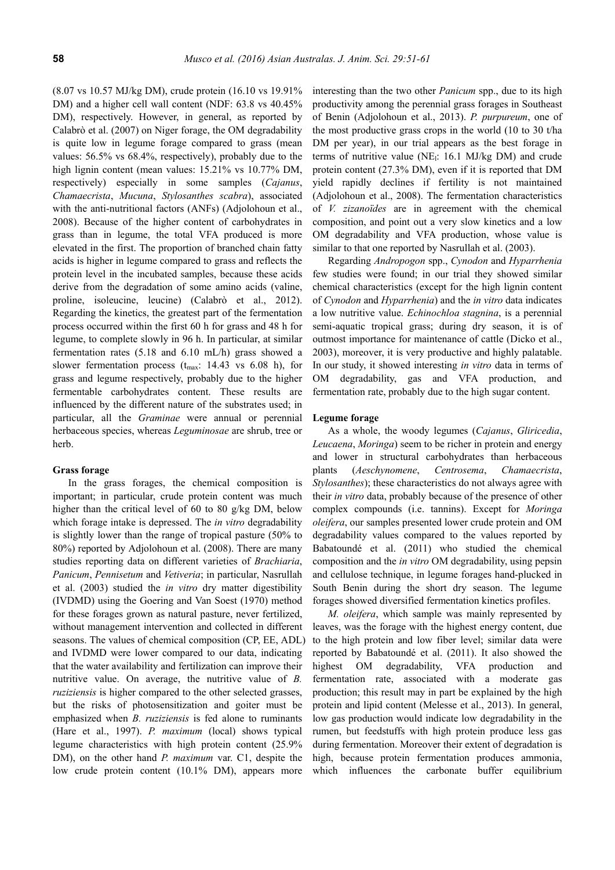(8.07 vs 10.57 MJ/kg DM), crude protein (16.10 vs 19.91% DM) and a higher cell wall content (NDF: 63.8 vs 40.45% DM), respectively. However, in general, as reported by Calabrò et al. (2007) on Niger forage, the OM degradability is quite low in legume forage compared to grass (mean values: 56.5% vs 68.4%, respectively), probably due to the high lignin content (mean values: 15.21% vs 10.77% DM, respectively) especially in some samples (*Cajanus*, *Chamaecrista*, *Mucuna*, *Stylosanthes scabra*), associated with the anti-nutritional factors (ANFs) (Adjolohoun et al., 2008). Because of the higher content of carbohydrates in grass than in legume, the total VFA produced is more elevated in the first. The proportion of branched chain fatty acids is higher in legume compared to grass and reflects the protein level in the incubated samples, because these acids derive from the degradation of some amino acids (valine, proline, isoleucine, leucine) (Calabrò et al., 2012). Regarding the kinetics, the greatest part of the fermentation process occurred within the first 60 h for grass and 48 h for legume, to complete slowly in 96 h. In particular, at similar fermentation rates (5.18 and 6.10 mL/h) grass showed a slower fermentation process  $(t_{max}: 14.43 \text{ vs } 6.08 \text{ h})$ , for grass and legume respectively, probably due to the higher fermentable carbohydrates content. These results are influenced by the different nature of the substrates used; in particular, all the *Graminae* were annual or perennial herbaceous species, whereas *Leguminosae* are shrub, tree or herb.

## **Grass forage**

In the grass forages, the chemical composition is important; in particular, crude protein content was much higher than the critical level of 60 to 80 g/kg DM, below which forage intake is depressed. The *in vitro* degradability is slightly lower than the range of tropical pasture (50% to 80%) reported by Adjolohoun et al. (2008). There are many studies reporting data on different varieties of *Brachiaria*, *Panicum*, *Pennisetum* and *Vetiveria*; in particular, Nasrullah et al. (2003) studied the *in vitro* dry matter digestibility (IVDMD) using the Goering and Van Soest (1970) method for these forages grown as natural pasture, never fertilized, without management intervention and collected in different seasons. The values of chemical composition (CP, EE, ADL) and IVDMD were lower compared to our data, indicating that the water availability and fertilization can improve their nutritive value. On average, the nutritive value of *B. ruziziensis* is higher compared to the other selected grasses, but the risks of photosensitization and goiter must be emphasized when *B. ruziziensis* is fed alone to ruminants (Hare et al., 1997). *P. maximum* (local) shows typical legume characteristics with high protein content (25.9% DM), on the other hand *P. maximum* var. C1, despite the low crude protein content (10.1% DM), appears more

interesting than the two other *Panicum* spp., due to its high productivity among the perennial grass forages in Southeast of Benin (Adjolohoun et al., 2013). *P. purpureum*, one of the most productive grass crops in the world (10 to 30 t/ha DM per year), in our trial appears as the best forage in terms of nutritive value ( $NE$ ): 16.1 MJ/kg DM) and crude protein content (27.3% DM), even if it is reported that DM yield rapidly declines if fertility is not maintained (Adjolohoun et al., 2008). The fermentation characteristics of *V. zizanoïdes* are in agreement with the chemical composition, and point out a very slow kinetics and a low OM degradability and VFA production, whose value is similar to that one reported by Nasrullah et al. (2003).

Regarding *Andropogon* spp., *Cynodon* and *Hyparrhenia* few studies were found; in our trial they showed similar chemical characteristics (except for the high lignin content of *Cynodon* and *Hyparrhenia*) and the *in vitro* data indicates a low nutritive value. *Echinochloa stagnina*, is a perennial semi-aquatic tropical grass; during dry season, it is of outmost importance for maintenance of cattle (Dicko et al., 2003), moreover, it is very productive and highly palatable. In our study, it showed interesting *in vitro* data in terms of OM degradability, gas and VFA production, and fermentation rate, probably due to the high sugar content.

#### **Legume forage**

As a whole, the woody legumes (*Cajanus*, *Gliricedia*, *Leucaena*, *Moringa*) seem to be richer in protein and energy and lower in structural carbohydrates than herbaceous plants (*Aeschynomene*, *Centrosema*, *Chamaecrista*, *Stylosanthes*); these characteristics do not always agree with their *in vitro* data, probably because of the presence of other complex compounds (i.e. tannins). Except for *Moringa oleifera*, our samples presented lower crude protein and OM degradability values compared to the values reported by Babatoundé et al. (2011) who studied the chemical composition and the *in vitro* OM degradability, using pepsin and cellulose technique, in legume forages hand-plucked in South Benin during the short dry season. The legume forages showed diversified fermentation kinetics profiles.

*M. oleifera*, which sample was mainly represented by leaves, was the forage with the highest energy content, due to the high protein and low fiber level; similar data were reported by Babatoundé et al. (2011). It also showed the highest OM degradability, VFA production and fermentation rate, associated with a moderate gas production; this result may in part be explained by the high protein and lipid content (Melesse et al., 2013). In general, low gas production would indicate low degradability in the rumen, but feedstuffs with high protein produce less gas during fermentation. Moreover their extent of degradation is high, because protein fermentation produces ammonia, which influences the carbonate buffer equilibrium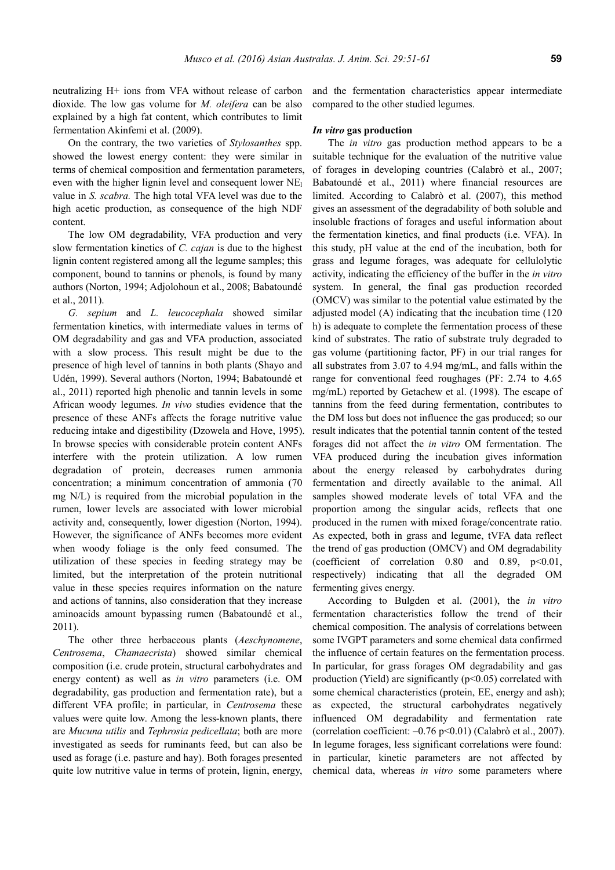neutralizing H+ ions from VFA without release of carbon dioxide. The low gas volume for *M. oleifera* can be also explained by a high fat content, which contributes to limit fermentation Akinfemi et al. (2009).

On the contrary, the two varieties of *Stylosanthes* spp. showed the lowest energy content: they were similar in terms of chemical composition and fermentation parameters, even with the higher lignin level and consequent lower NE value in *S. scabra.* The high total VFA level was due to the high acetic production, as consequence of the high NDF content.

The low OM degradability, VFA production and very slow fermentation kinetics of *C. cajan* is due to the highest lignin content registered among all the legume samples; this component, bound to tannins or phenols, is found by many authors (Norton, 1994; Adjolohoun et al., 2008; Babatoundé et al., 2011).

*G. sepium* and *L. leucocephala* showed similar fermentation kinetics, with intermediate values in terms of OM degradability and gas and VFA production, associated with a slow process. This result might be due to the presence of high level of tannins in both plants (Shayo and Udén, 1999). Several authors (Norton, 1994; Babatoundé et al., 2011) reported high phenolic and tannin levels in some African woody legumes. *In vivo* studies evidence that the presence of these ANFs affects the forage nutritive value reducing intake and digestibility (Dzowela and Hove, 1995). In browse species with considerable protein content ANFs interfere with the protein utilization. A low rumen degradation of protein, decreases rumen ammonia concentration; a minimum concentration of ammonia (70 mg N/L) is required from the microbial population in the rumen, lower levels are associated with lower microbial activity and, consequently, lower digestion (Norton, 1994). However, the significance of ANFs becomes more evident when woody foliage is the only feed consumed. The utilization of these species in feeding strategy may be limited, but the interpretation of the protein nutritional value in these species requires information on the nature and actions of tannins, also consideration that they increase aminoacids amount bypassing rumen (Babatoundé et al., 2011).

The other three herbaceous plants (*Aeschynomene*, *Centrosema*, *Chamaecrista*) showed similar chemical composition (i.e. crude protein, structural carbohydrates and energy content) as well as *in vitro* parameters (i.e. OM degradability, gas production and fermentation rate), but a different VFA profile; in particular, in *Centrosema* these values were quite low. Among the less-known plants, there are *Mucuna utilis* and *Tephrosia pedicellata*; both are more investigated as seeds for ruminants feed, but can also be used as forage (i.e. pasture and hay). Both forages presented quite low nutritive value in terms of protein, lignin, energy,

and the fermentation characteristics appear intermediate compared to the other studied legumes.

# *In vitro* **gas production**

The *in vitro* gas production method appears to be a suitable technique for the evaluation of the nutritive value of forages in developing countries (Calabrò et al., 2007; Babatoundé et al., 2011) where financial resources are limited. According to Calabrò et al. (2007), this method gives an assessment of the degradability of both soluble and insoluble fractions of forages and useful information about the fermentation kinetics, and final products (i.e. VFA). In this study, pH value at the end of the incubation, both for grass and legume forages, was adequate for cellulolytic activity, indicating the efficiency of the buffer in the *in vitro*  system. In general, the final gas production recorded (OMCV) was similar to the potential value estimated by the adjusted model (A) indicating that the incubation time (120 h) is adequate to complete the fermentation process of these kind of substrates. The ratio of substrate truly degraded to gas volume (partitioning factor, PF) in our trial ranges for all substrates from 3.07 to 4.94 mg/mL, and falls within the range for conventional feed roughages (PF: 2.74 to 4.65 mg/mL) reported by Getachew et al. (1998). The escape of tannins from the feed during fermentation, contributes to the DM loss but does not influence the gas produced; so our result indicates that the potential tannin content of the tested forages did not affect the *in vitro* OM fermentation. The VFA produced during the incubation gives information about the energy released by carbohydrates during fermentation and directly available to the animal. All samples showed moderate levels of total VFA and the proportion among the singular acids, reflects that one produced in the rumen with mixed forage/concentrate ratio. As expected, both in grass and legume, tVFA data reflect the trend of gas production (OMCV) and OM degradability (coefficient of correlation  $0.80$  and  $0.89$ ,  $p<0.01$ , respectively) indicating that all the degraded OM fermenting gives energy.

According to Bulgden et al. (2001), the *in vitro* fermentation characteristics follow the trend of their chemical composition. The analysis of correlations between some IVGPT parameters and some chemical data confirmed the influence of certain features on the fermentation process. In particular, for grass forages OM degradability and gas production (Yield) are significantly  $(p<0.05)$  correlated with some chemical characteristics (protein, EE, energy and ash); as expected, the structural carbohydrates negatively influenced OM degradability and fermentation rate (correlation coefficient:  $-0.76$  p<0.01) (Calabrò et al., 2007). In legume forages, less significant correlations were found: in particular, kinetic parameters are not affected by chemical data, whereas *in vitro* some parameters where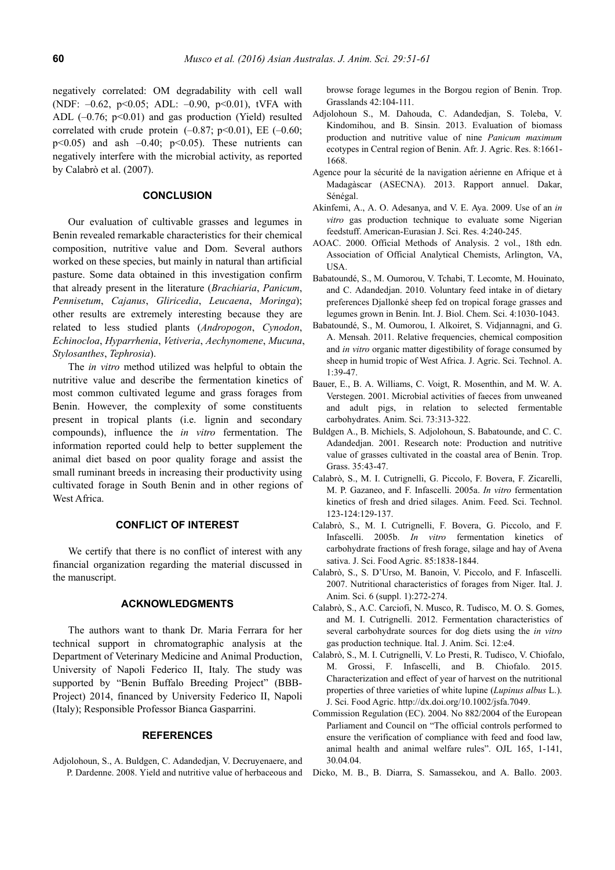negatively correlated: OM degradability with cell wall (NDF: –0.62, p<0.05; ADL: –0.90, p<0.01), tVFA with ADL  $(-0.76; p<0.01)$  and gas production (Yield) resulted correlated with crude protein  $(-0.87; p<0.01)$ , EE  $(-0.60;$  $p<0.05$ ) and ash  $-0.40$ ;  $p<0.05$ ). These nutrients can negatively interfere with the microbial activity, as reported by Calabrò et al. (2007).

# **CONCLUSION**

Our evaluation of cultivable grasses and legumes in Benin revealed remarkable characteristics for their chemical composition, nutritive value and Dom. Several authors worked on these species, but mainly in natural than artificial pasture. Some data obtained in this investigation confirm that already present in the literature (*Brachiaria*, *Panicum*, *Pennisetum*, *Cajanus*, *Gliricedia*, *Leucaena*, *Moringa*); other results are extremely interesting because they are related to less studied plants (*Andropogon*, *Cynodon*, *Echinocloa*, *Hyparrhenia*, *Vetiveria*, *Aechynomene*, *Mucuna*, *Stylosanthes*, *Tephrosia*).

The *in vitro* method utilized was helpful to obtain the nutritive value and describe the fermentation kinetics of most common cultivated legume and grass forages from Benin. However, the complexity of some constituents present in tropical plants (i.e. lignin and secondary compounds), influence the *in vitro* fermentation. The information reported could help to better supplement the animal diet based on poor quality forage and assist the small ruminant breeds in increasing their productivity using cultivated forage in South Benin and in other regions of West Africa.

# **CONFLICT OF INTEREST**

We certify that there is no conflict of interest with any financial organization regarding the material discussed in the manuscript.

# **ACKNOWLEDGMENTS**

The authors want to thank Dr. Maria Ferrara for her technical support in chromatographic analysis at the Department of Veterinary Medicine and Animal Production, University of Napoli Federico II, Italy. The study was supported by "Benin Buffalo Breeding Project" (BBB-Project) 2014, financed by University Federico II, Napoli (Italy); Responsible Professor Bianca Gasparrini.

#### **REFERENCES**

Adjolohoun, S., A. Buldgen, C. Adandedjan, V. Decruyenaere, and P. Dardenne. 2008. Yield and nutritive value of herbaceous and browse forage legumes in the Borgou region of Benin. Trop. Grasslands 42:104-111.

- Adjolohoun S., M. Dahouda, C. Adandedjan, S. Toleba, V. Kindomihou, and B. Sinsin. 2013. Evaluation of biomass production and nutritive value of nine *Panicum maximum* ecotypes in Central region of Benin. Afr. J. Agric. Res. 8:1661- 1668.
- Agence pour la sécurité de la navigation aérienne en Afrique et à Madagàscar (ASECNA). 2013. Rapport annuel. Dakar, Sénégal.
- Akinfemi, A., A. O. Adesanya, and V. E. Aya. 2009. Use of an *in vitro* gas production technique to evaluate some Nigerian feedstuff. American-Eurasian J. Sci. Res. 4:240-245.
- AOAC. 2000. Official Methods of Analysis. 2 vol., 18th edn. Association of Official Analytical Chemists, Arlington, VA, **USA**
- Babatoundé, S., M. Oumorou, V. Tchabi, T. Lecomte, M. Houinato, and C. Adandedjan. 2010. Voluntary feed intake in of dietary preferences Djallonké sheep fed on tropical forage grasses and legumes grown in Benin. Int. J. Biol. Chem. Sci. 4:1030-1043.
- Babatoundé, S., M. Oumorou, I. Alkoiret, S. Vidjannagni, and G. A. Mensah. 2011. Relative frequencies, chemical composition and *in vitro* organic matter digestibility of forage consumed by sheep in humid tropic of West Africa. J. Agric. Sci. Technol. A. 1:39-47.
- Bauer, E., B. A. Williams, C. Voigt, R. Mosenthin, and M. W. A. Verstegen. 2001. Microbial activities of faeces from unweaned and adult pigs, in relation to selected fermentable carbohydrates. Anim. Sci. 73:313-322.
- Buldgen A., B. Michiels, S. Adjolohoun, S. Babatounde, and C. C. Adandedjan. 2001. Research note: Production and nutritive value of grasses cultivated in the coastal area of Benin. Trop. Grass. 35:43-47.
- Calabrò, S., M. I. Cutrignelli, G. Piccolo, F. Bovera, F. Zicarelli, M. P. Gazaneo, and F. Infascelli. 2005a. *In vitro* fermentation kinetics of fresh and dried silages. Anim. Feed. Sci. Technol. 123-124:129-137.
- Calabrò, S., M. I. Cutrignelli, F. Bovera, G. Piccolo, and F. Infascelli. 2005b. *In vitro* fermentation kinetics of carbohydrate fractions of fresh forage, silage and hay of Avena sativa. J. Sci. Food Agric. 85:1838-1844.
- Calabrò, S., S. D'Urso, M. Banoin, V. Piccolo, and F. Infascelli. 2007. Nutritional characteristics of forages from Niger. Ital. J. Anim. Sci. 6 (suppl. 1):272-274.
- Calabrò, S., A.C. Carciofi, N. Musco, R. Tudisco, M. O. S. Gomes, and M. I. Cutrignelli. 2012. Fermentation characteristics of several carbohydrate sources for dog diets using the *in vitro* gas production technique. Ital. J. Anim. Sci. 12:e4.
- Calabrò, S., M. I. Cutrignelli, V. Lo Presti, R. Tudisco, V. Chiofalo, M. Grossi, F. Infascelli, and B. Chiofalo. 2015. Characterization and effect of year of harvest on the nutritional properties of three varieties of white lupine (*Lupinus albus* L.). J. Sci. Food Agric. http://dx.doi.org/10.1002/jsfa.7049.
- Commission Regulation (EC). 2004. No 882/2004 of the European Parliament and Council on "The official controls performed to ensure the verification of compliance with feed and food law, animal health and animal welfare rules". OJL 165, 1-141, 30.04.04.
- Dicko, M. B., B. Diarra, S. Samassekou, and A. Ballo. 2003.